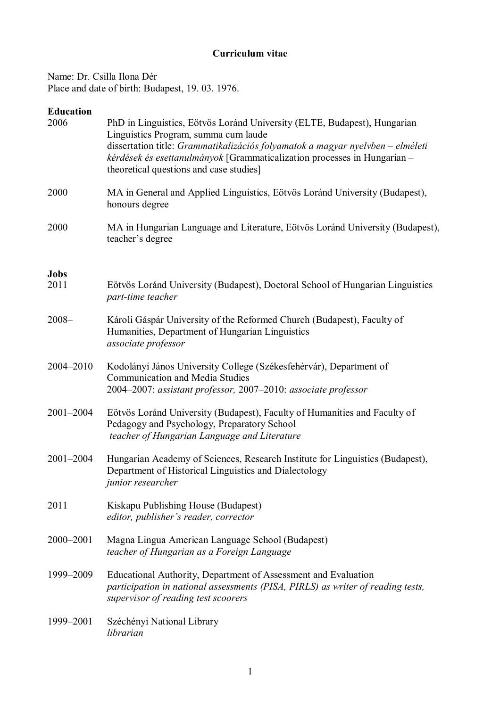## **Curriculum vitae**

Name: Dr. Csilla Ilona Dér Place and date of birth: Budapest, 19. 03. 1976.

### **Education**

| 2006                | PhD in Linguistics, Eötvös Loránd University (ELTE, Budapest), Hungarian<br>Linguistics Program, summa cum laude<br>dissertation title: Grammatikalizációs folyamatok a magyar nyelvben - elméleti<br>kérdések és esettanulmányok [Grammaticalization processes in Hungarian -<br>theoretical questions and case studies] |
|---------------------|---------------------------------------------------------------------------------------------------------------------------------------------------------------------------------------------------------------------------------------------------------------------------------------------------------------------------|
| 2000                | MA in General and Applied Linguistics, Eötvös Loránd University (Budapest),<br>honours degree                                                                                                                                                                                                                             |
| 2000                | MA in Hungarian Language and Literature, Eötvös Loránd University (Budapest),<br>teacher's degree                                                                                                                                                                                                                         |
| <b>Jobs</b><br>2011 | Eötvös Loránd University (Budapest), Doctoral School of Hungarian Linguistics<br>part-time teacher                                                                                                                                                                                                                        |
| $2008 -$            | Károli Gáspár University of the Reformed Church (Budapest), Faculty of<br>Humanities, Department of Hungarian Linguistics<br>associate professor                                                                                                                                                                          |
| 2004-2010           | Kodolányi János University College (Székesfehérvár), Department of<br><b>Communication and Media Studies</b><br>2004-2007: assistant professor, 2007-2010: associate professor                                                                                                                                            |
| 2001-2004           | Eötvös Loránd University (Budapest), Faculty of Humanities and Faculty of<br>Pedagogy and Psychology, Preparatory School<br>teacher of Hungarian Language and Literature                                                                                                                                                  |
| 2001-2004           | Hungarian Academy of Sciences, Research Institute for Linguistics (Budapest),<br>Department of Historical Linguistics and Dialectology<br><i>junior researcher</i>                                                                                                                                                        |
| 2011                | Kiskapu Publishing House (Budapest)<br>editor, publisher's reader, corrector                                                                                                                                                                                                                                              |
| 2000-2001           | Magna Lingua American Language School (Budapest)<br>teacher of Hungarian as a Foreign Language                                                                                                                                                                                                                            |
| 1999-2009           | Educational Authority, Department of Assessment and Evaluation<br>participation in national assessments (PISA, PIRLS) as writer of reading tests,<br>supervisor of reading test scoorers                                                                                                                                  |
| 1999-2001           | Széchényi National Library<br>librarian                                                                                                                                                                                                                                                                                   |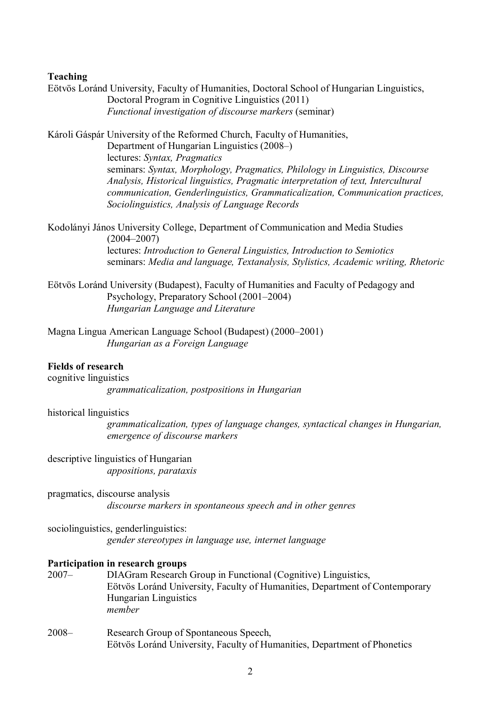# **Teaching**

|                                                    | Eötvös Loránd University, Faculty of Humanities, Doctoral School of Hungarian Linguistics,<br>Doctoral Program in Cognitive Linguistics (2011)<br>Functional investigation of discourse markers (seminar)                                                                                                                                                                                                                                                        |
|----------------------------------------------------|------------------------------------------------------------------------------------------------------------------------------------------------------------------------------------------------------------------------------------------------------------------------------------------------------------------------------------------------------------------------------------------------------------------------------------------------------------------|
|                                                    | Károli Gáspár University of the Reformed Church, Faculty of Humanities,<br>Department of Hungarian Linguistics (2008–)<br>lectures: Syntax, Pragmatics<br>seminars: Syntax, Morphology, Pragmatics, Philology in Linguistics, Discourse<br>Analysis, Historical linguistics, Pragmatic interpretation of text, Intercultural<br>communication, Genderlinguistics, Grammaticalization, Communication practices,<br>Sociolinguistics, Analysis of Language Records |
|                                                    | Kodolányi János University College, Department of Communication and Media Studies                                                                                                                                                                                                                                                                                                                                                                                |
|                                                    | $(2004 - 2007)$<br>lectures: Introduction to General Linguistics, Introduction to Semiotics<br>seminars: Media and language, Textanalysis, Stylistics, Academic writing, Rhetoric                                                                                                                                                                                                                                                                                |
|                                                    | Eötvös Loránd University (Budapest), Faculty of Humanities and Faculty of Pedagogy and<br>Psychology, Preparatory School (2001–2004)<br>Hungarian Language and Literature                                                                                                                                                                                                                                                                                        |
|                                                    | Magna Lingua American Language School (Budapest) (2000–2001)<br>Hungarian as a Foreign Language                                                                                                                                                                                                                                                                                                                                                                  |
| <b>Fields of research</b><br>cognitive linguistics | grammaticalization, postpositions in Hungarian                                                                                                                                                                                                                                                                                                                                                                                                                   |
| historical linguistics                             | grammaticalization, types of language changes, syntactical changes in Hungarian,<br>emergence of discourse markers                                                                                                                                                                                                                                                                                                                                               |
|                                                    | descriptive linguistics of Hungarian<br>appositions, parataxis                                                                                                                                                                                                                                                                                                                                                                                                   |
|                                                    | pragmatics, discourse analysis<br>discourse markers in spontaneous speech and in other genres                                                                                                                                                                                                                                                                                                                                                                    |
|                                                    | sociolinguistics, genderlinguistics:<br>gender stereotypes in language use, internet language                                                                                                                                                                                                                                                                                                                                                                    |
| $2007 -$                                           | Participation in research groups<br>DIAGram Research Group in Functional (Cognitive) Linguistics,<br>Eötvös Loránd University, Faculty of Humanities, Department of Contemporary<br>Hungarian Linguistics<br>member                                                                                                                                                                                                                                              |
| $2008 -$                                           | Research Group of Spontaneous Speech,<br>Eötvös Loránd University, Faculty of Humanities, Department of Phonetics                                                                                                                                                                                                                                                                                                                                                |
|                                                    |                                                                                                                                                                                                                                                                                                                                                                                                                                                                  |